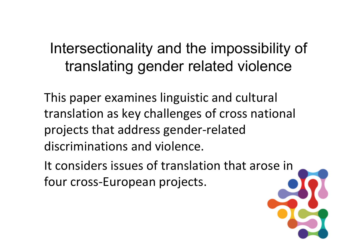# Intersectionality and the impossibility of translating gender related violence

This paper examines linguistic and cultural translation as key challenges of cross national projects that address gender-related discriminations and violence.

It considers issues of translation that arose in four cross-European projects.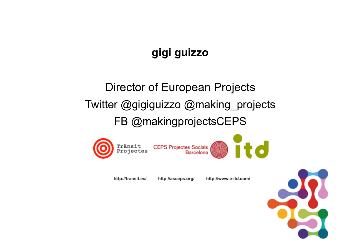# **gigi guizzo**

# Director of European Projects Twitter @gigiguizzo @making\_projects FB @makingprojectsCEPS



http://transit.es/

http://www.e-itd.com/ http://asceps.org/

**Barcelona** 



**id**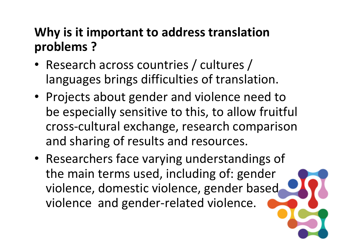# **Why is it important to address translation problems ?**

- Research across countries / cultures / languages brings difficulties of translation.
- Projects about gender and violence need to be especially sensitive to this, to allow fruitful cross-cultural exchange, research comparison and sharing of results and resources.
- Researchers face varying understandings of the main terms used, including of: gender violence, domestic violence, gender based violence and gender-related violence.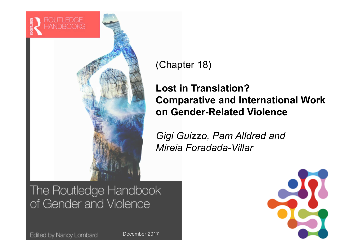

(Chapter 18)

### **Lost in Translation? Comparative and International Work on Gender-Related Violence**

*Gigi Guizzo, Pam Alldred and Mireia Foradada-Villar*

## The Routledge Handbook of Gender and Violence

Edited by Nancy Lombard

December 2017

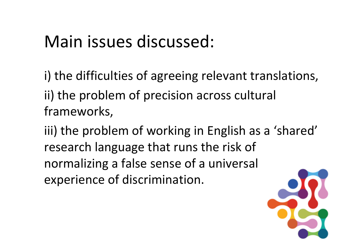# Main issues discussed:

i) the difficulties of agreeing relevant translations, ii) the problem of precision across cultural frameworks, 

iii) the problem of working in English as a 'shared' research language that runs the risk of normalizing a false sense of a universal experience of discrimination.

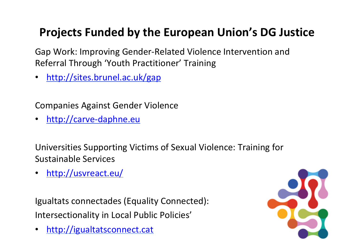# **Projects Funded by the European Union's DG Justice**

Gap Work: Improving Gender-Related Violence Intervention and Referral Through 'Youth Practitioner' Training

• http://sites.brunel.ac.uk/gap

Companies Against Gender Violence 

• http://carve-daphne.eu

Universities Supporting Victims of Sexual Violence: Training for Sustainable Services

• http://usvreact.eu/ 

Igualtats connectades (Equality Connected): Intersectionality in Local Public Policies'

• http://igualtatsconnect.cat

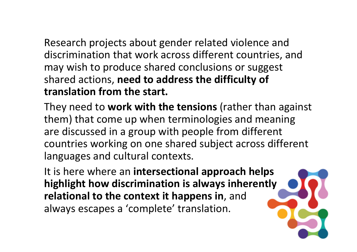Research projects about gender related violence and discrimination that work across different countries, and may wish to produce shared conclusions or suggest shared actions, need to address the difficulty of **translation from the start.** 

They need to work with the tensions (rather than against them) that come up when terminologies and meaning are discussed in a group with people from different countries working on one shared subject across different languages and cultural contexts.

It is here where an **intersectional approach helps highlight how discrimination is always inherently relational to the context it happens in, and** always escapes a 'complete' translation.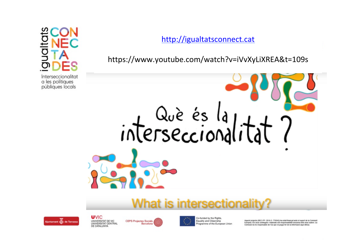### http://igualtatsconnect.cat

https://www.youtube.com/watch?v=iVvXyLiXREA&t=109s 

# interseccional

# What is intersectiona



**UVIC** UNIVERSITAT DE VIC UNIVERSITAT CENTRAL DE CATALUNYA





Aquest projecte (REC-PP- 2016-2- 776043) ha estat finançat amb el suport de la Comissió Europea. Els seus continguts i materials són responsabilitat exclusiva dels seus autors. La Comissió no és responsable de l'ús que es pugui fer de la informació aquí difosa.